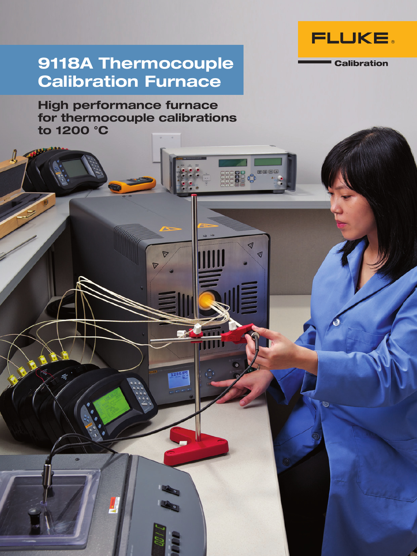

**Calibration** 

## 9118A Thermocouple Calibration Furnace

High performance furnace for thermocouple calibrations to 1200 °C

> ◁ ◀

 $\int$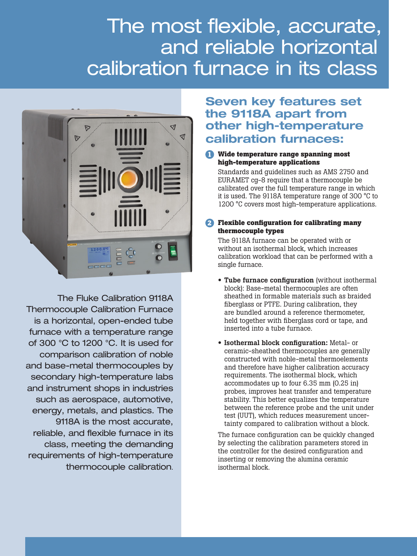# The most flexible, accurate, and reliable horizontal calibration furnace in its class



The Fluke Calibration 9118A Thermocouple Calibration Furnace is a horizontal, open-ended tube furnace with a temperature range of 300 °C to 1200 °C. It is used for comparison calibration of noble and base-metal thermocouples by secondary high-temperature labs and instrument shops in industries such as aerospace, automotive, energy, metals, and plastics. The 9118A is the most accurate, reliable, and flexible furnace in its class, meeting the demanding requirements of high-temperature thermocouple calibration.

### Seven key features set the 9118A apart from other high-temperature calibration furnaces:

#### **1 Wide temperature range spanning most high-temperature applications**

Standards and guidelines such as AMS 2750 and EURAMET cg-8 require that a thermocouple be calibrated over the full temperature range in which it is used. The 9118A temperature range of 300 °C to 1200 °C covers most high-temperature applications.

#### **2 Flexible configuration for calibrating many thermocouple types**

The 9118A furnace can be operated with or without an isothermal block, which increases calibration workload that can be performed with a single furnace.

- Tube furnace configuration (without isothermal block): Base-metal thermocouples are often sheathed in formable materials such as braided fiberglass or PTFE. During calibration, they are bundled around a reference thermometer, held together with fiberglass cord or tape, and inserted into a tube furnace.
- Isothermal block configuration: Metal- or ceramic-sheathed thermocouples are generally constructed with noble-metal thermoelements and therefore have higher calibration accuracy requirements. The isothermal block, which accommodates up to four 6.35 mm (0.25 in) probes, improves heat transfer and temperature stability. This better equalizes the temperature between the reference probe and the unit under test (UUT), which reduces measurement uncertainty compared to calibration without a block.

The furnace configuration can be quickly changed by selecting the calibration parameters stored in the controller for the desired configuration and inserting or removing the alumina ceramic isothermal block.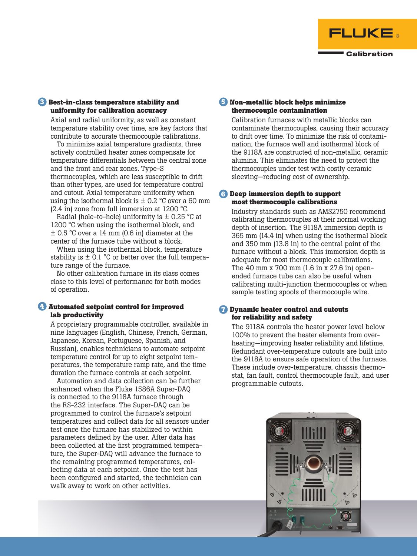![](_page_2_Picture_0.jpeg)

#### **3 Best-in-class temperature stability and uniformity for calibration accuracy**

Axial and radial uniformity, as well as constant temperature stability over time, are key factors that contribute to accurate thermocouple calibrations.

To minimize axial temperature gradients, three actively controlled heater zones compensate for temperature differentials between the central zone and the front and rear zones. Type-S thermocouples, which are less susceptible to drift than other types, are used for temperature control and cutout. Axial temperature uniformity when using the isothermal block is  $\pm$  0.2 °C over a 60 mm (2.4 in) zone from full immersion at 1200 °C.

Radial (hole-to-hole) uniformity is  $\pm$  0.25 °C at 1200 °C when using the isothermal block, and ± 0.5 °C over a 14 mm (0.6 in) diameter at the center of the furnace tube without a block.

When using the isothermal block, temperature stability is  $\pm$  0.1 °C or better over the full temperature range of the furnace.

No other calibration furnace in its class comes close to this level of performance for both modes of operation.

#### **4 Automated setpoint control for improved lab productivity**

A proprietary programmable controller, available in nine languages (English, Chinese, French, German, Japanese, Korean, Portuguese, Spanish, and Russian), enables technicians to automate setpoint temperature control for up to eight setpoint temperatures, the temperature ramp rate, and the time duration the furnace controls at each setpoint.

Automation and data collection can be further enhanced when the Fluke 1586A Super-DAQ is connected to the 9118A furnace through the RS-232 interface. The Super-DAQ can be programmed to control the furnace's setpoint temperatures and collect data for all sensors under test once the furnace has stabilized to within parameters defined by the user. After data has been collected at the first programmed temperature, the Super-DAQ will advance the furnace to the remaining programmed temperatures, collecting data at each setpoint. Once the test has been configured and started, the technician can walk away to work on other activities.

#### **5 Non-metallic block helps minimize thermocouple contamination**

Calibration furnaces with metallic blocks can contaminate thermocouples, causing their accuracy to drift over time. To minimize the risk of contamination, the furnace well and isothermal block of the 9118A are constructed of non-metallic, ceramic alumina. This eliminates the need to protect the thermocouples under test with costly ceramic sleeving—reducing cost of ownership.

#### **6 Deep immersion depth to support most thermocouple calibrations**

Industry standards such as AMS2750 recommend calibrating thermocouples at their normal working depth of insertion. The 9118A immersion depth is 365 mm (14.4 in) when using the isothermal block and 350 mm (13.8 in) to the central point of the furnace without a block. This immersion depth is adequate for most thermocouple calibrations. The 40 mm x 700 mm (1.6 in x 27.6 in) openended furnace tube can also be useful when calibrating multi-junction thermocouples or when sample testing spools of thermocouple wire.

#### **7 Dynamic heater control and cutouts for reliability and safety**

The 9118A controls the heater power level below 100% to prevent the heater elements from overheating—improving heater reliability and lifetime. Redundant over-temperature cutouts are built into the 9118A to ensure safe operation of the furnace. These include over-temperature, chassis thermostat, fan fault, control thermocouple fault, and user programmable cutouts.

![](_page_2_Picture_16.jpeg)